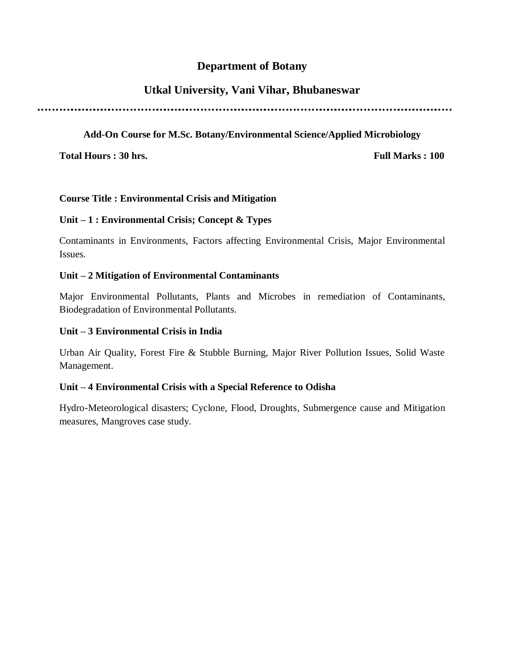#### **Department of Botany**

## **Utkal University, Vani Vihar, Bhubaneswar**

### **Add-On Course for M.Sc. Botany/Environmental Science/Applied Microbiology**

**Total Hours : 30 hrs.** Full Marks : 100

#### **Course Title : Environmental Crisis and Mitigation**

#### **Unit – 1 : Environmental Crisis; Concept & Types**

Contaminants in Environments, Factors affecting Environmental Crisis, Major Environmental Issues.

#### **Unit – 2 Mitigation of Environmental Contaminants**

Major Environmental Pollutants, Plants and Microbes in remediation of Contaminants, Biodegradation of Environmental Pollutants.

#### **Unit – 3 Environmental Crisis in India**

Urban Air Quality, Forest Fire & Stubble Burning, Major River Pollution Issues, Solid Waste Management.

#### **Unit – 4 Environmental Crisis with a Special Reference to Odisha**

Hydro-Meteorological disasters; Cyclone, Flood, Droughts, Submergence cause and Mitigation measures, Mangroves case study.